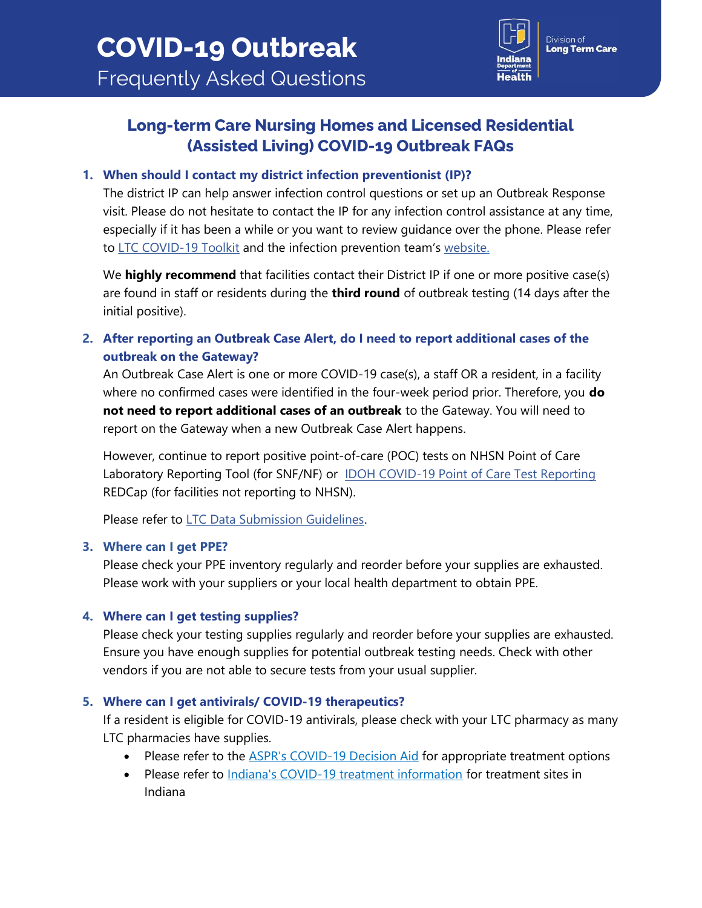

# Long-term Care Nursing Homes and Licensed Residential (Assisted Living) COVID-19 Outbreak FAQs

## 1. When should I contact my district infection preventionist (IP)?

The district IP can help answer infection control questions or set up an Outbreak Response visit. Please do not hesitate to contact the IP for any infection control assistance at any time, especially if it has been a while or you want to review guidance over the phone. Please refer to [LTC COVID-19 Toolkit](https://www.in.gov/health/erc/files/LTC-COVID-19-IP-Toolkit.pdf) and the infection prevention team's [website.](https://www.in.gov/health/erc/infectious-disease-epidemiology/healthcare-associated-infections-and-antimicrobial-resistance-epidemiology/infection-prevention/)

We highly recommend that facilities contact their District IP if one or more positive case(s) are found in staff or residents during the **third round** of outbreak testing (14 days after the initial positive).

2. After reporting an Outbreak Case Alert, do I need to report additional cases of the outbreak on the Gateway?

An Outbreak Case Alert is one or more COVID-19 case(s), a staff OR a resident, in a facility where no confirmed cases were identified in the four-week period prior. Therefore, you **do** not need to report additional cases of an outbreak to the Gateway. You will need to report on the Gateway when a new Outbreak Case Alert happens.

However, continue to report positive point-of-care (POC) tests on NHSN Point of Care Laboratory Reporting Tool (for SNF/NF) or [IDOH COVID-19 Point of Care Test Reporting](https://redcap.isdh.in.gov/surveys/?s=ER98AJW9RX) REDCap (for facilities not reporting to NHSN).

Please refer to [LTC Data Submission Guidelines.](https://www.coronavirus.in.gov/files/LTC-Facility-Data-Submission-Guidelines-5-12-22.pdf)

### 3. Where can I get PPE?

Please check your PPE inventory regularly and reorder before your supplies are exhausted. Please work with your suppliers or your local health department to obtain PPE.

## 4. Where can I get testing supplies?

Please check your testing supplies regularly and reorder before your supplies are exhausted. Ensure you have enough supplies for potential outbreak testing needs. Check with other vendors if you are not able to secure tests from your usual supplier.

## 5. Where can I get antivirals/ COVID-19 therapeutics?

If a resident is eligible for COVID-19 antivirals, please check with your LTC pharmacy as many LTC pharmacies have supplies.

- Please refer to the **[ASPR's COVID-19 Decision Aid](https://aspr.hhs.gov/COVID-19/Therapeutics/Documents/COVID-Therapeutics-Decision-Aid.pdf)** for appropriate treatment options
- Please refer to [Indiana's COVID-19 treatment information](https://www.coronavirus.in.gov/covid-19-treatment-information/) for treatment sites in Indiana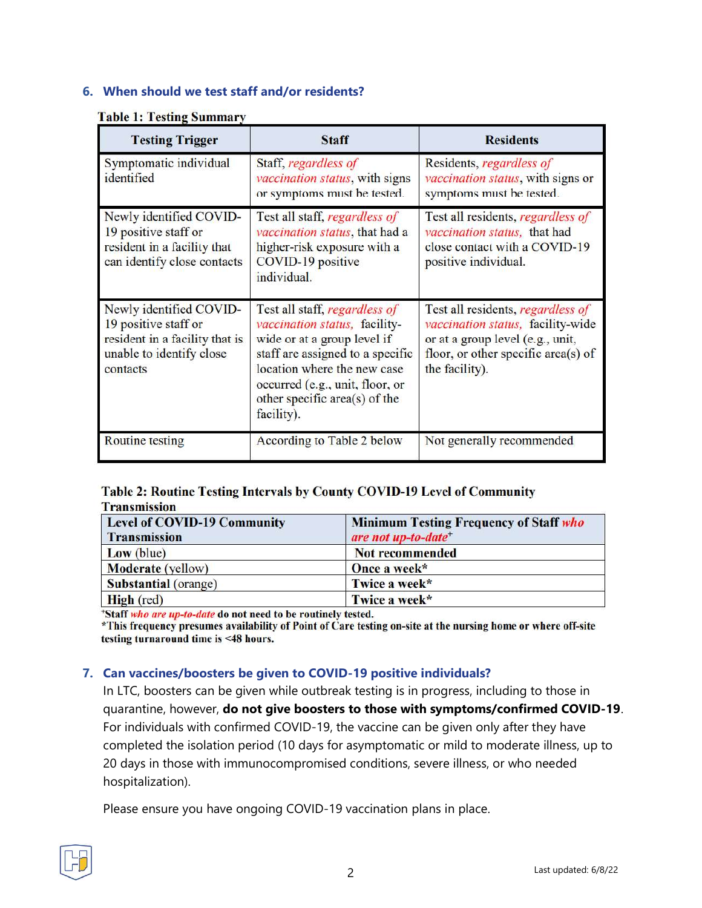## 6. When should we test staff and/or residents?

#### **Table 1: Testing Summary**

| <b>Testing Trigger</b>                                                                                                    | <b>Staff</b>                                                                                                                                                                                                                                       | <b>Residents</b>                                                                                                                                                    |
|---------------------------------------------------------------------------------------------------------------------------|----------------------------------------------------------------------------------------------------------------------------------------------------------------------------------------------------------------------------------------------------|---------------------------------------------------------------------------------------------------------------------------------------------------------------------|
| Symptomatic individual<br>identified                                                                                      | Staff, regardless of<br>vaccination status, with signs<br>or symptoms must be tested.                                                                                                                                                              | Residents, regardless of<br>vaccination status, with signs or<br>symptoms must be tested.                                                                           |
| Newly identified COVID-<br>19 positive staff or<br>resident in a facility that<br>can identify close contacts             | Test all staff, <i>regardless of</i><br>vaccination status, that had a<br>higher-risk exposure with a<br>COVID-19 positive<br>individual.                                                                                                          | Test all residents, regardless of<br>vaccination status, that had<br>close contact with a COVID-19<br>positive individual.                                          |
| Newly identified COVID-<br>19 positive staff or<br>resident in a facility that is<br>unable to identify close<br>contacts | Test all staff, regardless of<br>vaccination status, facility-<br>wide or at a group level if<br>staff are assigned to a specific<br>location where the new case<br>occurred (e.g., unit, floor, or<br>other specific area(s) of the<br>facility). | Test all residents, regardless of<br>vaccination status, facility-wide<br>or at a group level (e.g., unit,<br>floor, or other specific area(s) of<br>the facility). |
| <b>Routine</b> testing                                                                                                    | According to Table 2 below                                                                                                                                                                                                                         | Not generally recommended                                                                                                                                           |

### Table 2: Routine Testing Intervals by County COVID-19 Level of Community **Transmission**

| <b>Level of COVID-19 Community</b><br><b>Transmission</b> | <b>Minimum Testing Frequency of Staff who</b><br>are not up-to-date <sup>+</sup> |  |
|-----------------------------------------------------------|----------------------------------------------------------------------------------|--|
| Low (blue)                                                | <b>Not recommended</b>                                                           |  |
| <b>Moderate</b> (yellow)                                  | Once a week*                                                                     |  |
| <b>Substantial</b> (orange)                               | Twice a week*                                                                    |  |
| High (red)                                                | Twice a week*                                                                    |  |

\*Staff who are up-to-date do not need to be routinely tested.

\*This frequency presumes availability of Point of Care testing on-site at the nursing home or where off-site testing turnaround time is <48 hours.

### 7. Can vaccines/boosters be given to COVID-19 positive individuals?

In LTC, boosters can be given while outbreak testing is in progress, including to those in quarantine, however, do not give boosters to those with symptoms/confirmed COVID-19. For individuals with confirmed COVID-19, the vaccine can be given only after they have completed the isolation period (10 days for asymptomatic or mild to moderate illness, up to 20 days in those with immunocompromised conditions, severe illness, or who needed hospitalization).

Please ensure you have ongoing COVID-19 vaccination plans in place.